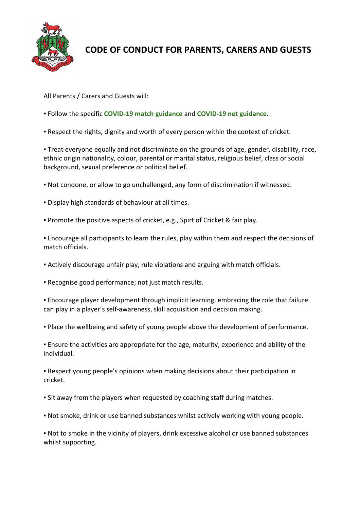

## **CODE OF CONDUCT FOR PARENTS, CARERS AND GUESTS**

All Parents / Carers and Guests will:

- Follow the specific **[COVID-19 match guidance](https://www.teddingtoncc.co.uk/covid19-match-guidance)** and **[COVID-19 net guidance](https://www.teddingtoncc.co.uk/covid19-net-guidance)**.
- **Respect the rights, dignity and worth of every person within the context of cricket.**

▪ Treat everyone equally and not discriminate on the grounds of age, gender, disability, race, ethnic origin nationality, colour, parental or marital status, religious belief, class or social background, sexual preference or political belief.

- Not condone, or allow to go unchallenged, any form of discrimination if witnessed.
- Display high standards of behaviour at all times.
- Promote the positive aspects of cricket, e.g., Spirt of Cricket & fair play.

**Encourage all participants to learn the rules, play within them and respect the decisions of** match officials.

- Actively discourage unfair play, rule violations and arguing with match officials.
- Recognise good performance; not just match results.

**Encourage player development through implicit learning, embracing the role that failure** can play in a player's self-awareness, skill acquisition and decision making.

▪ Place the wellbeing and safety of young people above the development of performance.

▪ Ensure the activities are appropriate for the age, maturity, experience and ability of the individual.

▪ Respect young people's opinions when making decisions about their participation in cricket.

- Sit away from the players when requested by coaching staff during matches.
- Not smoke, drink or use banned substances whilst actively working with young people.

▪ Not to smoke in the vicinity of players, drink excessive alcohol or use banned substances whilst supporting.